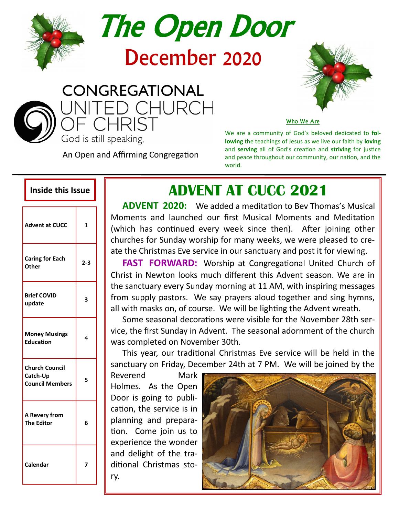

# The Open Door

# December 2020



An Open and Affirming Congregation



Who We Are

We are a community of God's beloved dedicated to **following** the teachings of Jesus as we live our faith by **loving** and **serving** all of God's creation and **striving** for justice and peace throughout our community, our nation, and the world.

| <b>Advent at CUCC</b>                                       | $\overline{1}$ |
|-------------------------------------------------------------|----------------|
| <b>Caring for Each</b><br>Other                             | $2 - 3$        |
| <b>Brief COVID</b><br>update                                | 3              |
| <b>Money Musings</b><br><b>Education</b>                    | 4              |
| <b>Church Council</b><br>Catch-Up<br><b>Council Members</b> | 5              |
| A Revery from<br><b>The Editor</b>                          | 6              |
| Calendar                                                    |                |

## **Inside this Issue | | ADVENT AT CUCC 2021**

**ADVENT 2020:** We added a meditation to Bev Thomas's Musical Moments and launched our first Musical Moments and Meditation (which has continued every week since then). After joining other churches for Sunday worship for many weeks, we were pleased to create the Christmas Eve service in our sanctuary and post it for viewing.

**FAST FORWARD:** Worship at Congregational United Church of Christ in Newton looks much different this Advent season. We are in the sanctuary every Sunday morning at 11 AM, with inspiring messages from supply pastors. We say prayers aloud together and sing hymns, all with masks on, of course. We will be lighting the Advent wreath.

Some seasonal decorations were visible for the November 28th service, the first Sunday in Advent. The seasonal adornment of the church was completed on November 30th.

This year, our traditional Christmas Eve service will be held in the sanctuary on Friday, December 24th at 7 PM. We will be joined by the

Reverend Mark Holmes. As the Open Door is going to publication, the service is in planning and preparation. Come join us to experience the wonder and delight of the traditional Christmas story.

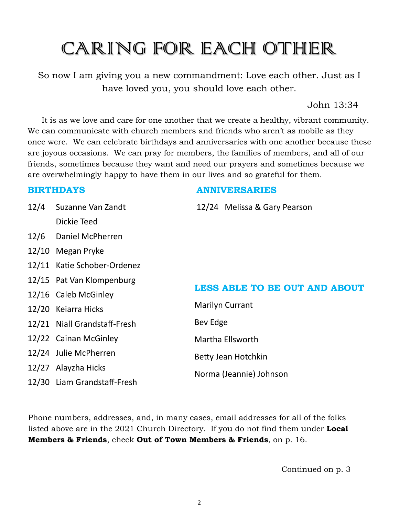# CARING FOR EACH OTHER

So now I am giving you a new commandment: Love each other. Just as I have loved you, you should love each other.

John 13:34

It is as we love and care for one another that we create a healthy, vibrant community. We can communicate with church members and friends who aren't as mobile as they once were. We can celebrate birthdays and anniversaries with one another because these are joyous occasions. We can pray for members, the families of members, and all of our friends, sometimes because they want and need our prayers and sometimes because we are overwhelmingly happy to have them in our lives and so grateful for them.

#### **BIRTHDAYS ANNIVERSARIES**

| 12/4 | Suzanne Van Zandt            | 12/24 Melissa & Gary Pearson         |  |
|------|------------------------------|--------------------------------------|--|
|      | Dickie Teed                  |                                      |  |
| 12/6 | Daniel McPherren             |                                      |  |
|      | 12/10 Megan Pryke            |                                      |  |
|      | 12/11 Katie Schober-Ordenez  |                                      |  |
|      | 12/15 Pat Van Klompenburg    |                                      |  |
|      | 12/16 Caleb McGinley         | <b>LESS ABLE TO BE OUT AND ABOUT</b> |  |
|      | 12/20 Keiarra Hicks          | <b>Marilyn Currant</b>               |  |
|      | 12/21 Niall Grandstaff-Fresh | Bev Edge                             |  |
|      | 12/22 Cainan McGinley        | Martha Ellsworth                     |  |
|      | 12/24 Julie McPherren        | Betty Jean Hotchkin                  |  |
|      | 12/27 Alayzha Hicks          | Norma (Jeannie) Johnson              |  |
|      | 12/30 Liam Grandstaff-Fresh  |                                      |  |

Phone numbers, addresses, and, in many cases, email addresses for all of the folks listed above are in the 2021 Church Directory. If you do not find them under **Local Members & Friends**, check **Out of Town Members & Friends**, on p. 16.

Continued on p. 3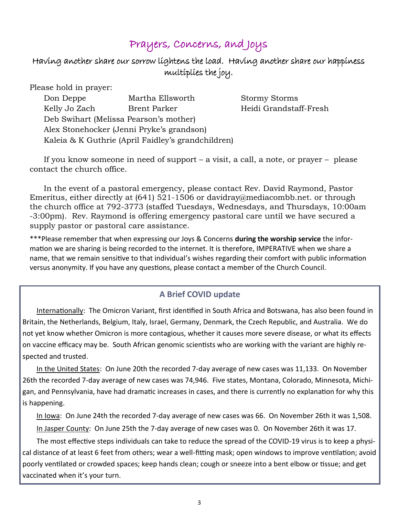#### Prayers, Concerns, and Joys

#### Having another share our sorrow lightens the load. Having another share our happiness multiplies the joy.

Please hold in prayer:

| Don Deppe                                          | Martha Ellsworth | <b>Stormy Storms</b>   |  |  |
|----------------------------------------------------|------------------|------------------------|--|--|
| Kelly Jo Zach                                      | Brent Parker     | Heidi Grandstaff-Fresh |  |  |
| Deb Swihart (Melissa Pearson's mother)             |                  |                        |  |  |
| Alex Stonehocker (Jenni Pryke's grandson)          |                  |                        |  |  |
| Kaleia & K Guthrie (April Faidley's grandchildren) |                  |                        |  |  |

If you know someone in need of support – a visit, a call, a note, or prayer – please contact the church office.

In the event of a pastoral emergency, please contact Rev. David Raymond, Pastor Emeritus, either directly at (641) 521-1506 or davidray@mediacombb.net. or through the church office at 792-3773 (staffed Tuesdays, Wednesdays, and Thursdays, 10:00am -3:00pm). Rev. Raymond is offering emergency pastoral care until we have secured a supply pastor or pastoral care assistance.

\*\*\*Please remember that when expressing our Joys & Concerns **during the worship service** the information we are sharing is being recorded to the internet. It is therefore, IMPERATIVE when we share a name, that we remain sensitive to that individual's wishes regarding their comfort with public information versus anonymity. If you have any questions, please contact a member of the Church Council.

#### **A Brief COVID update**

Internationally: The Omicron Variant, first identified in South Africa and Botswana, has also been found in Britain, the Netherlands, Belgium, Italy, Israel, Germany, Denmark, the Czech Republic, and Australia. We do not yet know whether Omicron is more contagious, whether it causes more severe disease, or what its effects on vaccine efficacy may be. South African genomic scientists who are working with the variant are highly respected and trusted.

In the United States: On June 20th the recorded 7-day average of new cases was 11,133. On November 26th the recorded 7-day average of new cases was 74,946. Five states, Montana, Colorado, Minnesota, Michigan, and Pennsylvania, have had dramatic increases in cases, and there is currently no explanation for why this is happening.

In Iowa: On June 24th the recorded 7-day average of new cases was 66. On November 26th it was 1,508. In Jasper County: On June 25th the 7-day average of new cases was 0. On November 26th it was 17.

The most effective steps individuals can take to reduce the spread of the COVID-19 virus is to keep a physical distance of at least 6 feet from others; wear a well-fitting mask; open windows to improve ventilation; avoid poorly ventilated or crowded spaces; keep hands clean; cough or sneeze into a bent elbow or tissue; and get vaccinated when it's your turn.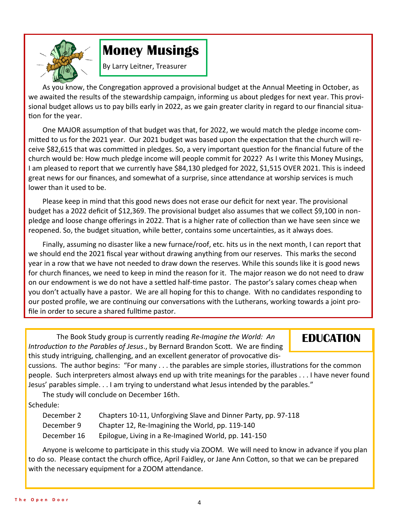

## **Money Musings**

By Larry Leitner, Treasurer

As you know, the Congregation approved a provisional budget at the Annual Meeting in October, as we awaited the results of the stewardship campaign, informing us about pledges for next year. This provisional budget allows us to pay bills early in 2022, as we gain greater clarity in regard to our financial situation for the year.

One MAJOR assumption of that budget was that, for 2022, we would match the pledge income committed to us for the 2021 year. Our 2021 budget was based upon the expectation that the church will receive \$82,615 that was committed in pledges. So, a very important question for the financial future of the church would be: How much pledge income will people commit for 2022? As I write this Money Musings, I am pleased to report that we currently have \$84,130 pledged for 2022, \$1,515 OVER 2021. This is indeed great news for our finances, and somewhat of a surprise, since attendance at worship services is much lower than it used to be.

Please keep in mind that this good news does not erase our deficit for next year. The provisional budget has a 2022 deficit of \$12,369. The provisional budget also assumes that we collect \$9,100 in nonpledge and loose change offerings in 2022. That is a higher rate of collection than we have seen since we reopened. So, the budget situation, while better, contains some uncertainties, as it always does.

Finally, assuming no disaster like a new furnace/roof, etc. hits us in the next month, I can report that we should end the 2021 fiscal year without drawing anything from our reserves. This marks the second year in a row that we have not needed to draw down the reserves. While this sounds like it is good news for church finances, we need to keep in mind the reason for it. The major reason we do not need to draw on our endowment is we do not have a settled half-time pastor. The pastor's salary comes cheap when you don't actually have a pastor. We are all hoping for this to change. With no candidates responding to our posted profile, we are continuing our conversations with the Lutherans, working towards a joint profile in order to secure a shared fulltime pastor.

The Book Study group is currently reading *Re-Imagine the World: An Introduction to the Parables of Jesus*., by Bernard Brandon Scott. We are finding this study intriguing, challenging, and an excellent generator of provocative dis-

#### **EDUCATION**

cussions. The author begins: "For many . . . the parables are simple stories, illustrations for the common people. Such interpreters almost always end up with trite meanings for the parables . . . I have never found Jesus' parables simple. . . I am trying to understand what Jesus intended by the parables."

The study will conclude on December 16th. Schedule:

| December 2  | Chapters 10-11, Unforgiving Slave and Dinner Party, pp. 97-118 |
|-------------|----------------------------------------------------------------|
| December 9  | Chapter 12, Re-Imagining the World, pp. 119-140                |
| December 16 | Epilogue, Living in a Re-Imagined World, pp. 141-150           |

Anyone is welcome to participate in this study via ZOOM. We will need to know in advance if you plan to do so. Please contact the church office, April Faidley, or Jane Ann Cotton, so that we can be prepared with the necessary equipment for a ZOOM attendance.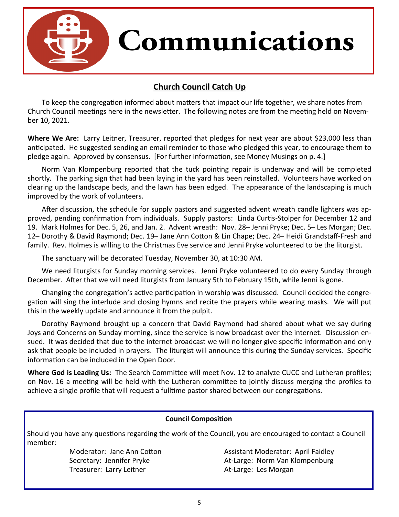

#### **Church Council Catch Up**

To keep the congregation informed about matters that impact our life together, we share notes from Church Council meetings here in the newsletter. The following notes are from the meeting held on November 10, 2021.

**Where We Are:** Larry Leitner, Treasurer, reported that pledges for next year are about \$23,000 less than anticipated. He suggested sending an email reminder to those who pledged this year, to encourage them to pledge again. Approved by consensus. [For further information, see Money Musings on p. 4.]

Norm Van Klompenburg reported that the tuck pointing repair is underway and will be completed shortly. The parking sign that had been laying in the yard has been reinstalled. Volunteers have worked on clearing up the landscape beds, and the lawn has been edged. The appearance of the landscaping is much improved by the work of volunteers.

After discussion, the schedule for supply pastors and suggested advent wreath candle lighters was approved, pending confirmation from individuals. Supply pastors: Linda Curtis-Stolper for December 12 and 19. Mark Holmes for Dec. 5, 26, and Jan. 2. Advent wreath: Nov. 28– Jenni Pryke; Dec. 5– Les Morgan; Dec. 12– Dorothy & David Raymond; Dec. 19– Jane Ann Cotton & Lin Chape; Dec. 24– Heidi Grandstaff-Fresh and family. Rev. Holmes is willing to the Christmas Eve service and Jenni Pryke volunteered to be the liturgist.

The sanctuary will be decorated Tuesday, November 30, at 10:30 AM.

We need liturgists for Sunday morning services. Jenni Pryke volunteered to do every Sunday through December. After that we will need liturgists from January 5th to February 15th, while Jenni is gone.

Changing the congregation's active participation in worship was discussed. Council decided the congregation will sing the interlude and closing hymns and recite the prayers while wearing masks. We will put this in the weekly update and announce it from the pulpit.

Dorothy Raymond brought up a concern that David Raymond had shared about what we say during Joys and Concerns on Sunday morning, since the service is now broadcast over the internet. Discussion ensued. It was decided that due to the internet broadcast we will no longer give specific information and only ask that people be included in prayers. The liturgist will announce this during the Sunday services. Specific information can be included in the Open Door.

**Where God is Leading Us:** The Search Committee will meet Nov. 12 to analyze CUCC and Lutheran profiles; on Nov. 16 a meeting will be held with the Lutheran committee to jointly discuss merging the profiles to achieve a single profile that will request a fulltime pastor shared between our congregations.

#### **Council Composition**

Should you have any questions regarding the work of the Council, you are encouraged to contact a Council member:

Treasurer: Larry Leitner **At-Large: Les Morgan** 

Moderator: Jane Ann Cotton Assistant Moderator: April Faidley Secretary: Jennifer Pryke At-Large: Norm Van Klompenburg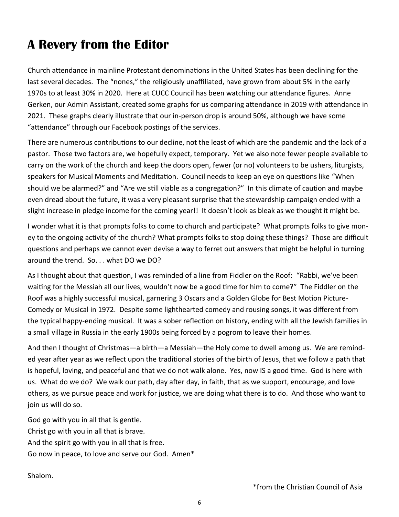## **A Revery from the Editor**

Church attendance in mainline Protestant denominations in the United States has been declining for the last several decades. The "nones," the religiously unaffiliated, have grown from about 5% in the early 1970s to at least 30% in 2020. Here at CUCC Council has been watching our attendance figures. Anne Gerken, our Admin Assistant, created some graphs for us comparing attendance in 2019 with attendance in 2021. These graphs clearly illustrate that our in-person drop is around 50%, although we have some "attendance" through our Facebook postings of the services.

There are numerous contributions to our decline, not the least of which are the pandemic and the lack of a pastor. Those two factors are, we hopefully expect, temporary. Yet we also note fewer people available to carry on the work of the church and keep the doors open, fewer (or no) volunteers to be ushers, liturgists, speakers for Musical Moments and Meditation. Council needs to keep an eye on questions like "When should we be alarmed?" and "Are we still viable as a congregation?" In this climate of caution and maybe even dread about the future, it was a very pleasant surprise that the stewardship campaign ended with a slight increase in pledge income for the coming year!! It doesn't look as bleak as we thought it might be.

I wonder what it is that prompts folks to come to church and participate? What prompts folks to give money to the ongoing activity of the church? What prompts folks to stop doing these things? Those are difficult questions and perhaps we cannot even devise a way to ferret out answers that might be helpful in turning around the trend. So. . . what DO we DO?

As I thought about that question, I was reminded of a line from Fiddler on the Roof: "Rabbi, we've been waiting for the Messiah all our lives, wouldn't now be a good time for him to come?" The Fiddler on the Roof was a highly successful musical, garnering 3 Oscars and a Golden Globe for Best Motion Picture-Comedy or Musical in 1972. Despite some lighthearted comedy and rousing songs, it was different from the typical happy-ending musical. It was a sober reflection on history, ending with all the Jewish families in a small village in Russia in the early 1900s being forced by a pogrom to leave their homes.

And then I thought of Christmas—a birth—a Messiah—the Holy come to dwell among us. We are reminded year after year as we reflect upon the traditional stories of the birth of Jesus, that we follow a path that is hopeful, loving, and peaceful and that we do not walk alone. Yes, now IS a good time. God is here with us. What do we do? We walk our path, day after day, in faith, that as we support, encourage, and love others, as we pursue peace and work for justice, we are doing what there is to do. And those who want to join us will do so.

God go with you in all that is gentle. Christ go with you in all that is brave. And the spirit go with you in all that is free. Go now in peace, to love and serve our God. Amen\*

Shalom.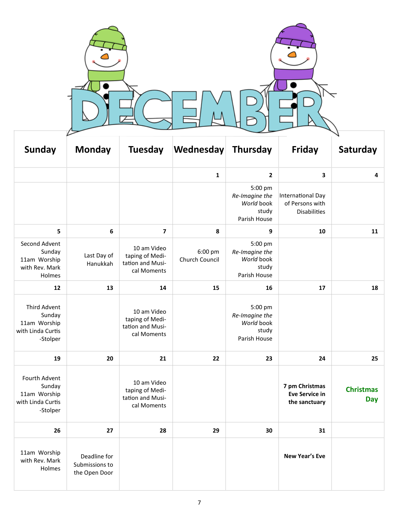| <b>Sunday</b>                                                            | <b>Monday</b>                                   | <b>Tuesday</b>                                                    | Wednesday                 | <b>Thursday</b>                                                  | <b>Friday</b>                                               | Saturday                       |
|--------------------------------------------------------------------------|-------------------------------------------------|-------------------------------------------------------------------|---------------------------|------------------------------------------------------------------|-------------------------------------------------------------|--------------------------------|
|                                                                          |                                                 |                                                                   | $\mathbf{1}$              | $\mathbf{2}$                                                     | 3                                                           | 4                              |
|                                                                          |                                                 |                                                                   |                           | 5:00 pm<br>Re-Imagine the<br>World book<br>study<br>Parish House | International Day<br>of Persons with<br><b>Disabilities</b> |                                |
| 5                                                                        | 6                                               | $\overline{\mathbf{z}}$                                           | 8                         | 9                                                                | 10                                                          | 11                             |
| Second Advent<br>Sunday<br>11am Worship<br>with Rev. Mark<br>Holmes      | Last Day of<br>Hanukkah                         | 10 am Video<br>taping of Medi-<br>tation and Musi-<br>cal Moments | 6:00 pm<br>Church Council | 5:00 pm<br>Re-Imagine the<br>World book<br>study<br>Parish House |                                                             |                                |
| 12                                                                       | 13                                              | 14                                                                | 15                        | 16                                                               | 17                                                          | 18                             |
| Third Advent<br>Sunday<br>11am Worship<br>with Linda Curtis<br>-Stolper  |                                                 | 10 am Video<br>taping of Medi-<br>tation and Musi-<br>cal Moments |                           | 5:00 pm<br>Re-Imagine the<br>World book<br>study<br>Parish House |                                                             |                                |
| 19                                                                       | 20                                              | 21                                                                | 22                        | 23                                                               | 24                                                          | 25                             |
| Fourth Advent<br>Sunday<br>11am Worship<br>with Linda Curtis<br>-Stolper |                                                 | 10 am Video<br>taping of Medi-<br>tation and Musi-<br>cal Moments |                           |                                                                  | 7 pm Christmas<br><b>Eve Service in</b><br>the sanctuary    | <b>Christmas</b><br><b>Day</b> |
| 26                                                                       | 27                                              | 28                                                                | 29                        | 30                                                               | 31                                                          |                                |
| 11am Worship<br>with Rev. Mark<br>Holmes                                 | Deadline for<br>Submissions to<br>the Open Door |                                                                   |                           |                                                                  | <b>New Year's Eve</b>                                       |                                |